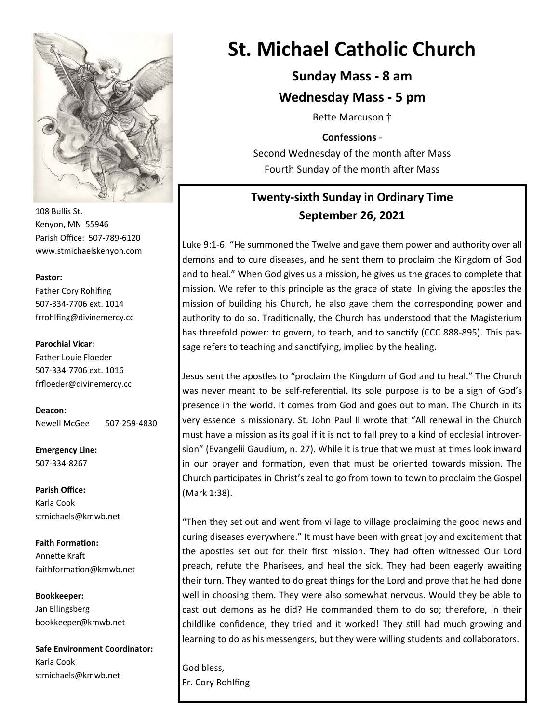

108 Bullis St. Kenyon, MN 55946 Parish Office: 507-789-6120 www.stmichaelskenyon.com

#### **Pastor:**

Father Cory Rohlfing 507-334-7706 ext. 1014 frrohlfing@divinemercy.cc

### **Parochial Vicar:**

Father Louie Floeder 507-334-7706 ext. 1016 frfloeder@divinemercy.cc

**Deacon:**  Newell McGee 507-259-4830

**Emergency Line:** 507-334-8267

**Parish Office:**  Karla Cook stmichaels@kmwb.net

**Faith Formation:**  Annette Kraft faithformation@kmwb.net

**Bookkeeper:**  Jan Ellingsberg bookkeeper@kmwb.net

**Safe Environment Coordinator:** Karla Cook stmichaels@kmwb.net

# **St. Michael Catholic Church**

**Sunday Mass - 8 am**

**Wednesday Mass - 5 pm**

Bette Marcuson †

**Confessions** -

Second Wednesday of the month after Mass Fourth Sunday of the month after Mass

# **Twenty-sixth Sunday in Ordinary Time September 26, 2021**

Luke 9:1-6: "He summoned the Twelve and gave them power and authority over all demons and to cure diseases, and he sent them to proclaim the Kingdom of God and to heal." When God gives us a mission, he gives us the graces to complete that mission. We refer to this principle as the grace of state. In giving the apostles the mission of building his Church, he also gave them the corresponding power and authority to do so. Traditionally, the Church has understood that the Magisterium has threefold power: to govern, to teach, and to sanctify (CCC 888-895). This passage refers to teaching and sanctifying, implied by the healing.

Jesus sent the apostles to "proclaim the Kingdom of God and to heal." The Church was never meant to be self-referential. Its sole purpose is to be a sign of God's presence in the world. It comes from God and goes out to man. The Church in its very essence is missionary. St. John Paul II wrote that "All renewal in the Church must have a mission as its goal if it is not to fall prey to a kind of ecclesial introversion" (Evangelii Gaudium, n. 27). While it is true that we must at times look inward in our prayer and formation, even that must be oriented towards mission. The Church participates in Christ's zeal to go from town to town to proclaim the Gospel (Mark 1:38).

"Then they set out and went from village to village proclaiming the good news and curing diseases everywhere." It must have been with great joy and excitement that the apostles set out for their first mission. They had often witnessed Our Lord preach, refute the Pharisees, and heal the sick. They had been eagerly awaiting their turn. They wanted to do great things for the Lord and prove that he had done well in choosing them. They were also somewhat nervous. Would they be able to cast out demons as he did? He commanded them to do so; therefore, in their childlike confidence, they tried and it worked! They still had much growing and learning to do as his messengers, but they were willing students and collaborators.

God bless, Fr. Cory Rohlfing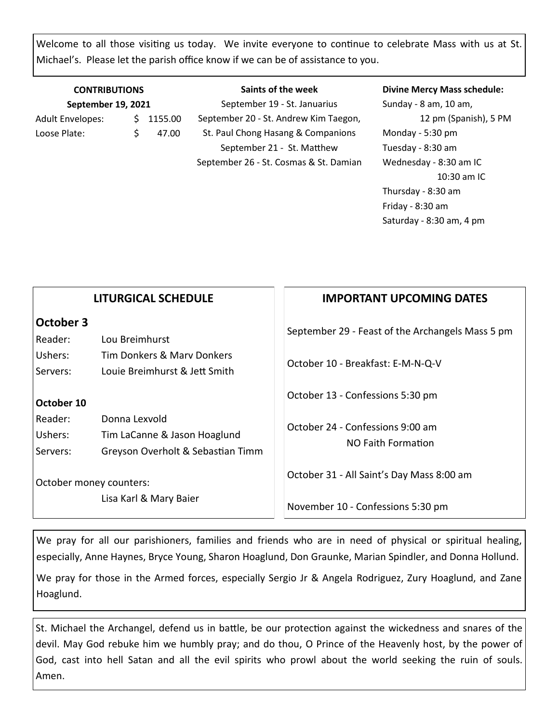Welcome to all those visiting us today. We invite everyone to continue to celebrate Mass with us at St. Michael's. Please let the parish office know if we can be of assistance to you.

| <b>CONTRIBUTIONS</b><br>September 19, 2021 |  |       | Saints of the week<br>September 19 - St. Januarius | <b>Divine Mercy Mass schedule:</b><br>Sunday - 8 am, 10 am, |
|--------------------------------------------|--|-------|----------------------------------------------------|-------------------------------------------------------------|
|                                            |  |       |                                                    |                                                             |
| Loose Plate:                               |  | 47.00 | St. Paul Chong Hasang & Companions                 | Monday - 5:30 pm                                            |
|                                            |  |       | September 21 - St. Matthew                         | Tuesday - 8:30 am                                           |

September 26 - St. Cosmas & St. Damian

Wednesday - 8:30 am IC

Saturday - 8:30 am, 4 pm

Thursday - 8:30 am Friday - 8:30 am

10:30 am IC

**IMPORTANT UPCOMING DATES** September 29 - Feast of the Archangels Mass 5 pm October 10 - Breakfast: E-M-N-Q-V October 13 - Confessions 5:30 pm October 24 - Confessions 9:00 am NO Faith Formation October 31 - All Saint's Day Mass 8:00 am November 10 - Confessions 5:30 pm **LITURGICAL SCHEDULE October 3** Reader: Lou Breimhurst Ushers: Tim Donkers & Marv Donkers Servers: Louie Breimhurst & Jett Smith **October 10** Reader: Donna Lexvold Ushers: Tim LaCanne & Jason Hoaglund Servers: Greyson Overholt & Sebastian Timm October money counters: Lisa Karl & Mary Baier

We pray for all our parishioners, families and friends who are in need of physical or spiritual healing, especially, Anne Haynes, Bryce Young, Sharon Hoaglund, Don Graunke, Marian Spindler, and Donna Hollund.

We pray for those in the Armed forces, especially Sergio Jr & Angela Rodriguez, Zury Hoaglund, and Zane Hoaglund.

St. Michael the Archangel, defend us in battle, be our protection against the wickedness and snares of the devil. May God rebuke him we humbly pray; and do thou, O Prince of the Heavenly host, by the power of God, cast into hell Satan and all the evil spirits who prowl about the world seeking the ruin of souls. Amen.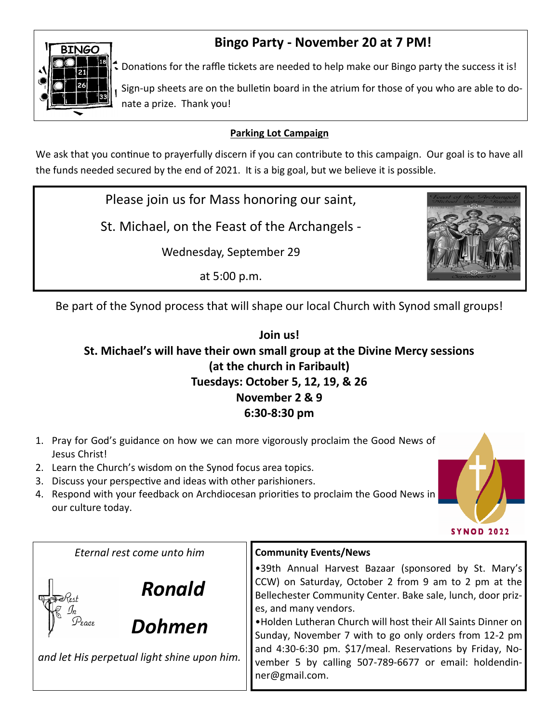

# **Bingo Party - November 20 at 7 PM!**

 $\clubsuit$  Donations for the raffle tickets are needed to help make our Bingo party the success it is!

Sign-up sheets are on the bulletin board in the atrium for those of you who are able to donate a prize. Thank you!

### **Parking Lot Campaign**

We ask that you continue to prayerfully discern if you can contribute to this campaign. Our goal is to have all the funds needed secured by the end of 2021. It is a big goal, but we believe it is possible.

Please join us for Mass honoring our saint,

St. Michael, on the Feast of the Archangels -

Wednesday, September 29

at 5:00 p.m.



Be part of the Synod process that will shape our local Church with Synod small groups!

# **Join us! St. Michael's will have their own small group at the Divine Mercy sessions (at the church in Faribault) Tuesdays: October 5, 12, 19, & 26 November 2 & 9 6:30-8:30 pm**

- 1. Pray for God's guidance on how we can more vigorously proclaim the Good News of Jesus Christ!
- 2. Learn the Church's wisdom on the Synod focus area topics.
- 3. Discuss your perspective and ideas with other parishioners.
- 4. Respond with your feedback on Archdiocesan priorities to proclaim the Good News in our culture today.



*Eternal rest come unto him*



*and let His perpetual light shine upon him.*

# **Community Events/News**

•39th Annual Harvest Bazaar (sponsored by St. Mary's CCW) on Saturday, October 2 from 9 am to 2 pm at the Bellechester Community Center. Bake sale, lunch, door prizes, and many vendors.

•Holden Lutheran Church will host their All Saints Dinner on Sunday, November 7 with to go only orders from 12-2 pm and 4:30-6:30 pm. \$17/meal. Reservations by Friday, November 5 by calling 507-789-6677 or email: holdendinner@gmail.com.